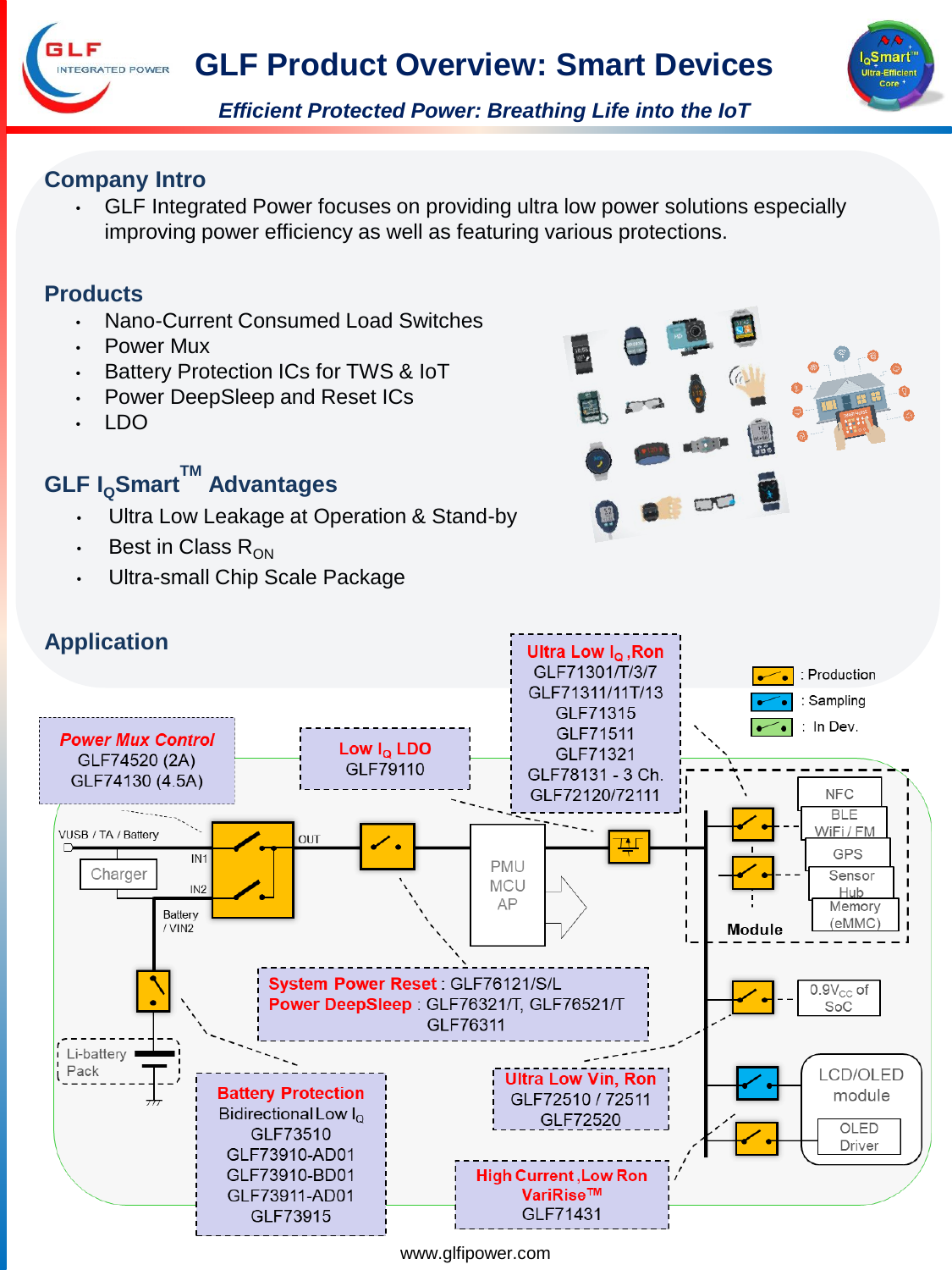



*Efficient Protected Power: Breathing Life into the IoT*

## **Company Intro**

NTEGRATED POWER

• GLF Integrated Power focuses on providing ultra low power solutions especially improving power efficiency as well as featuring various protections.

## **Products**

- Nano-Current Consumed Load Switches
- Power Mux
- Battery Protection ICs for TWS & IoT
- Power DeepSleep and Reset ICs
- LDO

## **GLF <sup>I</sup>QSmartTM Advantages**

- Ultra Low Leakage at Operation & Stand-by
- Best in Class  $R_{ON}$
- Ultra-small Chip Scale Package